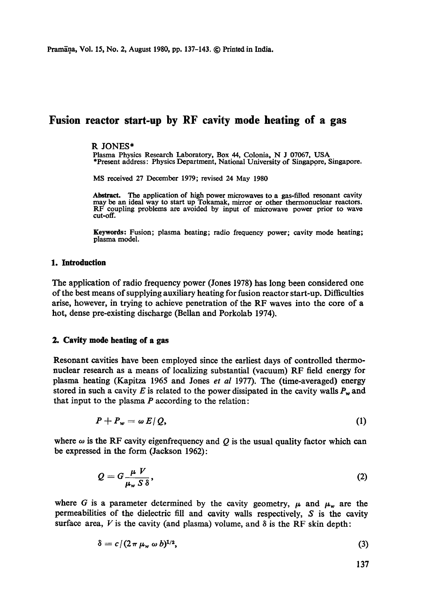Pramāņa, Vol. 15, No. 2, August 1980, pp. 137-143. © Printed in India.

# **Fusion reactor start-up by RF cavity mode heating of a gas**

#### R JONES\*

Plasma Physics Research Laboratory, Box 44, Colonia, N J 07067, USA \*Present address: Physics Department, National University of Singapore, Singapore.

MS received 27 December 1979; revised 24 May 1980

Abstract. The application of high power microwaves to a gas-filled resonant cavity may be an ideal way to start up Tokamak, mirror or other thermonuclear reactors. RF coupling problems are avoided by input of microwave power prior to wave cut-off.

**Keywords:** Fusion; plasma heating; radio frequency power; cavity mode heating; plasma model.

### **1. Introduction**

The application of radio frequency power (Jones 1978) has long been considered one of the best means of supplying auxiliary heating for fusion reactor start-up. Difficulties arise, however, in trying to achieve penetration of the RF waves into the core of a hot, dense pre-existing discharge (Bellan and Porkolab 1974).

#### **2. Cavity mode heating of a gas**

Resonant cavities have been employed since the earliest days of controlled thermonuclear research as a means of localizing substantial (vacuum) RF field energy for plasma heating (Kapitza 1965 and Jones *et al* 1977). The (time-averaged) energy stored in such a cavity E is related to the power dissipated in the cavity walls  $P_w$  and that input to the plasma  $P$  according to the relation:

$$
P + P_w = \omega E / Q, \tag{1}
$$

where  $\omega$  is the RF cavity eigenfrequency and Q is the usual quality factor which can be expressed in the form (Jackson 1962):

$$
Q = G \frac{\mu V}{\mu_w S \delta},\tag{2}
$$

where G is a parameter determined by the cavity geometry,  $\mu$  and  $\mu_w$  are the permeabilities of the dielectric fill and cavity walls respectively, S is the cavity surface area, V is the cavity (and plasma) volume, and  $\delta$  is the RF skin depth:

$$
\delta = c/(2\pi\,\mu_w\,\omega\,b)^{1/2},\tag{3}
$$

137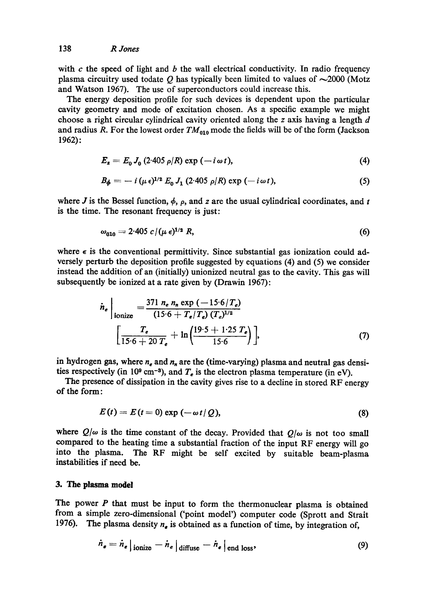with  $c$  the speed of light and  $b$  the wall electrical conductivity. In radio frequency plasma circuitry used todate Q has typically been limited to values of  $\sim$ 2000 (Motz and Watson 1967). The use of superconductors could increase this.

The energy deposition profile for such devices is dependent upon the particular cavity geometry and mode of excitation chosen. As a specific example we might choose a right circular cylindrical cavity oriented along the  $z$  axis having a length  $d$ and radius R. For the lowest order  $TM_{010}$  mode the fields will be of the form (Jackson 1962):

$$
E_z = E_0 J_0 (2.405 \rho/R) \exp(-i \omega t), \qquad (4)
$$

$$
B_{\phi} = -i \left( \mu \epsilon \right)^{1/2} E_0 J_1 \left( 2.405 \rho/R \right) \exp \left( -i \omega t \right), \tag{5}
$$

where J is the Bessel function,  $\phi$ ,  $\rho$ , and z are the usual cylindrical coordinates, and t is the time. The resonant frequency is just:

$$
\omega_{010} = 2.405 \, c / (\mu \, \epsilon)^{1/2} \, R,\tag{6}
$$

where  $\epsilon$  is the conventional permittivity. Since substantial gas ionization could adversely perturb the deposition profile suggested by equations (4) and (5) we consider instead the addition of an (initially) unionized neutral gas to the cavity. This gas will subsequently be ionized at a rate given by (Drawin 1967):

$$
\dot{n}_e\Big|_{\text{ionize}} = \frac{371 \ n_e \ n_n \exp(-15.6/T_e)}{(15.6 + T_e/T_e) (T_e)^{1/2}} \Big|_{\text{15.6} + 20 \ T_e} + \ln\left(\frac{19.5 + 1.25 \ T_e}{15.6}\right)\Big|, \tag{7}
$$

in hydrogen gas, where  $n_e$  and  $n_n$  are the (time-varying) plasma and neutral gas densities respectively (in 10<sup>9</sup> cm<sup>-3</sup>), and  $T_e$  is the electron plasma temperature (in eV).

The presence of dissipation in the cavity gives rise to a decline in stored RF energy of the form:

$$
E(t) = E(t=0) \exp(-\omega t/\mathcal{Q}), \qquad (8)
$$

where  $Q/\omega$  is the time constant of the decay. Provided that  $Q/\omega$  is not too small compared to the heating time a substantial fraction of the input RF energy will go into the plasma. The RF might be self excited by suitable beam-plasma instabilities if need be.

#### **3. The plasma model**

The power  $P$  that must be input to form the thermonuclear plasma is obtained from a simple zero-dimensional ('point model') computer code (Sprott and Strait 1976). The plasma density  $n_e$  is obtained as a function of time, by integration of,

$$
\dot{n}_{e} = \dot{n}_{e} \big|_{\text{ionize}} - \dot{n}_{e} \big|_{\text{diffuse}} - \dot{n}_{e} \big|_{\text{end loss}}, \tag{9}
$$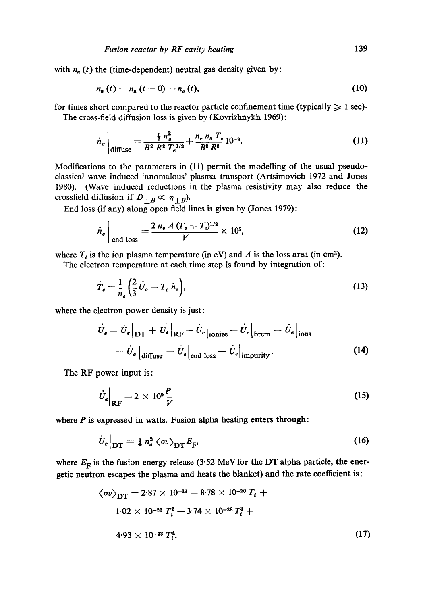with  $n_n(t)$  the (time-dependent) neutral gas density given by:

$$
n_n(t) = n_n(t = 0) - n_e(t),
$$
\n(10)

for times short compared to the reactor particle confinement time (typically  $\geq 1$  sec). The cross-field diffusion loss is given by (Kovrizhnykh 1969):

$$
\dot{n}_e\Big|_{\text{diffuse}} = \frac{\frac{1}{3}n_e^2}{B^2 R^2 T_e^{1/2}} + \frac{n_e n_n T_e}{B^2 R^2} 10^{-3}.\tag{11}
$$

Modifications to the parameters in (11) permit the modelling of the usual pseudoclassical wave induced 'anomalous' plasma transport (Artsimovich 1972 and Jones 1980). (Wave induced reductions in the plasma resistivity may also reduce the crossfield diffusion if  $D_{\perp B} \propto \eta_{\perp B}$ ).

End loss (if any) along open field fines is given by (Jones 1979):

$$
\dot{n}_e \Big|_{\text{end loss}} = \frac{2 n_e A (T_e + T_i)^{1/2}}{V} \times 10^5, \tag{12}
$$

where  $T_i$  is the ion plasma temperature (in eV) and A is the loss area (in cm<sup>2</sup>).

The electron temperature at each time step is found by integration of:

$$
\dot{T}_e = \frac{1}{n_e} \left( \frac{2}{3} \dot{U}_e - T_e \dot{n}_e \right),\tag{13}
$$

where the electron power density is just:

$$
\dot{U}_e = \dot{U}_e\big|_{\text{DT}} + \left. \dot{U}_e \right|_{\text{RF}} - \dot{U}_e\big|_{\text{ionize}} - \dot{U}_e\big|_{\text{brem}} - \dot{U}_e\big|_{\text{ions}} \n- \dot{U}_e\big|_{\text{diffuse}} - \dot{U}_e\big|_{\text{end loss}} - \dot{U}_e\big|_{\text{impurity}}.
$$
\n(14)

The RF power input is:

$$
\dot{U}_e\Big|_{\rm RF} = 2 \times 10^9 \frac{P}{\bar{V}} \tag{15}
$$

where  $P$  is expressed in watts. Fusion alpha heating enters through:

$$
\dot{U}_e\big|_{\text{DT}} = \frac{1}{4} n_e^2 \left\langle \sigma v \right\rangle_{\text{DT}} E_{\text{F}},\tag{16}
$$

where  $E_F$  is the fusion energy release (3.52 MeV for the DT alpha particle, the energetic neutron escapes the plasma and heats the blanket) and the rate coefficient is:

$$
\langle \sigma v \rangle_{\text{DT}} = 2.87 \times 10^{-16} - 8.78 \times 10^{-20} T_i + 1.02 \times 10^{-23} T_i^2 - 3.74 \times 10^{-28} T_i^3 + 4.93 \times 10^{-33} T_i^4. \tag{17}
$$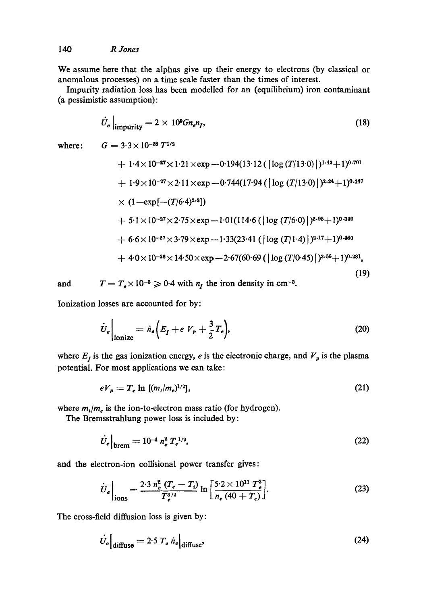We assume here that the alphas give up their energy to electrons (by classical or anomalous processes) on a time scale faster than the times of interest.

Impurity radiation loss has been modelled for an (equilibrium) iron contaminant (a pessimistic assumption):

$$
\dot{U}_e\Big|_{\text{impurity}} = 2 \times 10^9 G n_e n_I,\tag{18}
$$

where:

 $G = 3.3\!\times\!10^{-28}\,T^{1/2}$ 

+ 1·4×10<sup>-27</sup>×1·21×exp-0·194(13·12 (
$$
|\log (T/13\cdot0)|
$$
)<sup>1·43</sup>+1)<sup>0·701</sup>  
+ 1·9×10<sup>-27</sup>×2·11×exp-0·744(17·94 ( $|\log (T/13\cdot0)|$ )<sup>2·24</sup>+1)<sup>0·447</sup>  
× (1-exp[- $(T/6\cdot4)$ )<sup>2·3</sup>])  
+ 5·1×10<sup>-27</sup>×2·75×exp-1·01(114·6 ( $|\log (T/6\cdot0)|$ )<sup>2·95</sup>+1)<sup>0·340</sup>  
+ 6·6×10<sup>-27</sup>×3·79×exp-1·33(23·41 ( $|\log (T/1\cdot4)|$ )<sup>2.17</sup>+1)<sup>0.460</sup>  
+ 4·0×10<sup>-26</sup>×14·50×exp-2·67(60·69 ( $|\log (T/0\cdot45)|$ )<sup>3·56</sup>+1)<sup>0·281</sup>, (19)

and

$$
T = T_e \times 10^{-3} \ge 0.4
$$
 with  $n_I$  the iron density in cm<sup>-3</sup>.

Ionization losses are accounted for by:

$$
\dot{U}_e \bigg|_{\text{ionize}} = \dot{n}_e \bigg( E_I + e \ V_p + \frac{3}{2} T_e \bigg), \tag{20}
$$

where  $E_I$  is the gas ionization energy, e is the electronic charge, and  $V_p$  is the plasma potential. For most applications we can take:

$$
eV_p = T_e \ln \left[ (m_i/m_e)^{1/2} \right], \tag{21}
$$

where  $m_l/m_e$  is the ion-to-electron mass ratio (for hydrogen).

The Bremsstrahlung power loss is included by:

$$
\dot{U}_e|_{\text{brem}} = 10^{-4} n_e^2 T_e^{1/2},\tag{22}
$$

and the electron-ion collisional power transfer gives:

$$
\dot{U}_e\Big|_{\text{ions}} = \frac{2 \cdot 3 \, n_e^2 \, (T_e - T_i)}{T_e^3 \, n_e} \ln \left[ \frac{5 \cdot 2 \times 10^{11} \, T_e^3}{n_e \, (40 + T_e)} \right]. \tag{23}
$$

The cross-field diffusion loss is given by:

$$
\dot{U}_e \Big|_{\text{diffuse}} = 2.5 \ T_e \ \dot{n}_e \Big|_{\text{diffuse'}} \tag{24}
$$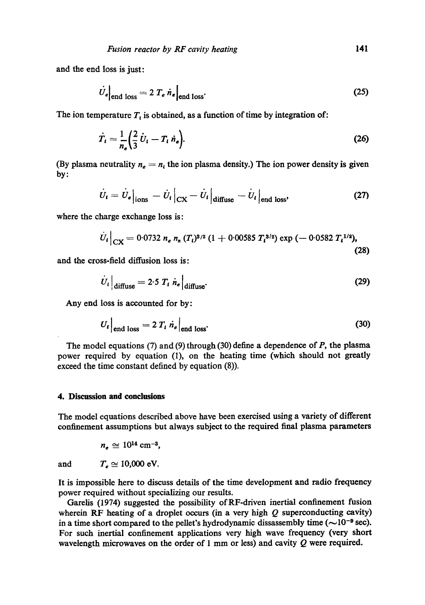and the end loss is just:

$$
\dot{U}_e|_{\text{end loss}} = 2 T_e \dot{n}_e|_{\text{end loss}}.
$$
\n(25)

The ion temperature  $T<sub>t</sub>$  is obtained, as a function of time by integration of:

$$
\dot{T}_i = \frac{1}{n_e} \left( \frac{2}{3} \dot{U}_i - T_i \dot{n}_e \right). \tag{26}
$$

(By plasma neutrality  $n_e = n_i$ , the ion plasma density.) The ion power density is given by:

$$
\dot{U}_t = \dot{U}_e\big|_{\text{ions}} - \dot{U}_t\big|_{\text{CX}} - \dot{U}_t\big|_{\text{diffuse}} - \dot{U}_t\big|_{\text{end loss}},\tag{27}
$$

where the charge exchange loss is:

$$
\dot{U}_t\big|_{\text{CX}} = 0.0732 n_e n_n (T_i)^{3/2} (1 + 0.00585 T_i^{3/2}) \exp(-0.0582 T_i^{1/2}),
$$
\n(28)

and the cross-field diffusion loss is:

$$
\dot{U}_t\Big|_{\text{diffuse}} = 2.5 T_t \dot{n}_e\Big|_{\text{diffuse}}.\tag{29}
$$

Any end loss is accounted for by:

$$
U_t\Big|_{\text{end loss}} = 2 T_t \dot{n}_e\Big|_{\text{end loss}}.
$$
 (30)

The model equations (7) and (9) through (30) define a dependence of  $P$ , the plasma power required by equation (1), on the heating time (which should not greatly exceed the time constant defined by equation (8)).

#### **4. Discussion and conclusions**

The model equations described above have been exercised using a variety of different confinement assumptions but always subject to the required final plasma parameters

 $n_e \approx 10^{14}$  cm<sup>-3</sup>,

and  $T_e \approx 10,000 \text{ eV}.$ 

It is impossible here to discuss details of the time development and radio frequency power required without specializing our results.

Gardis (1974) suggested the possibility of RF-dfiven inertial confinement fusion wherein RF heating of a droplet occurs (in a very high  $Q$  superconducting cavity) in a time short compared to the pellet's hydrodynamic dissassembly time  $(\sim 10^{-9}$  sec). For such inertial confinement applications very high wave frequency (very short wavelength microwaves on the order of 1 mm or less) and cavity  $Q$  were required.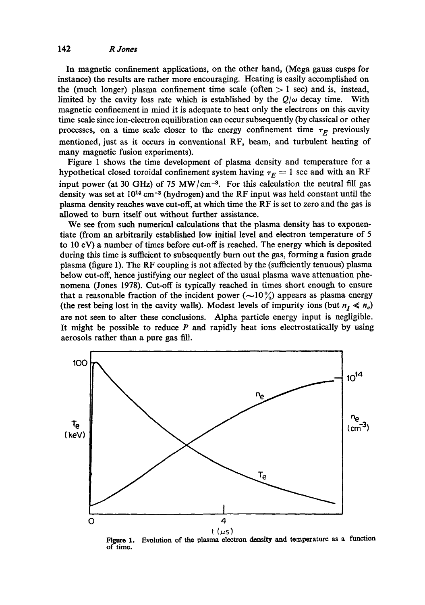In magnetic confinement applications, on the other hand, (Mega gauss cusps for instance) the results are rather more encouraging. Heating is easily accomplished on the (much longer) plasma confinement time scale (often  $> 1$  sec) and is, instead, limited by the cavity loss rate which is established by the  $Q/\omega$  decay time. With magnetic confinement in mind it is adequate to heat only the clectrons on this cavity time scale since ion-electron equilibration can occur subsequently (by classical or other processes, on a time scale closer to the energy confinement time  $\tau_E$  previously mentioned, just as it occurs in conventional RF, beam, and turbulent heating of many magnetic fusion experiments).

Figure I shows the time development of plasma dcnsity and temperature for a hypothetical closed toroidal confinement system having  $\tau_F = 1$  sec and with an RF input power (at 30 GHz) of 75 MW/cm<sup>-3</sup>. For this calculation the neutral fill gas density was set at  $10^{14}$  cm<sup>-3</sup> (hydrogen) and the RF input was held constant until the plasma density reaches wave cut-off, at which time the RF is set to zero and the gas is allowed to burn itself out without further assistance.

We see from such numerical calculations that the plasma density has to exponentiate (from an arbitrarily established low initial level and electron temperature of 5 to I0 eV) a number of times before cut-off is reached. The energy which is deposited during this time is sufficient to subsequently burn out the gas, forming a fusion grade plasma (figure I). The RF coupling is not affected by the (sufficiently tenuous) plasma below cut-off, hence justifying our neglect of the usual plasma wave attenuation phenomena (Jones 1978). Cut-off is typically reached in times short enough to ensure that a reasonable fraction of the incident power  $(\sim 10 \frac{\nu}{\omega})$  appears as plasma energy (the rest being lost in the cavity walls). Modest levels of impurity ions (but  $n_I \ll n_e$ ) are not seen to alter these conclusions. Alpha particle energy input is negligible. It might be possible to reduce  $P$  and rapidly heat ions electrostatically by using aerosols rather than a pure gas fill.



**Figure 1. of time.**  Evolution of the plasma electron density and temperature as a function